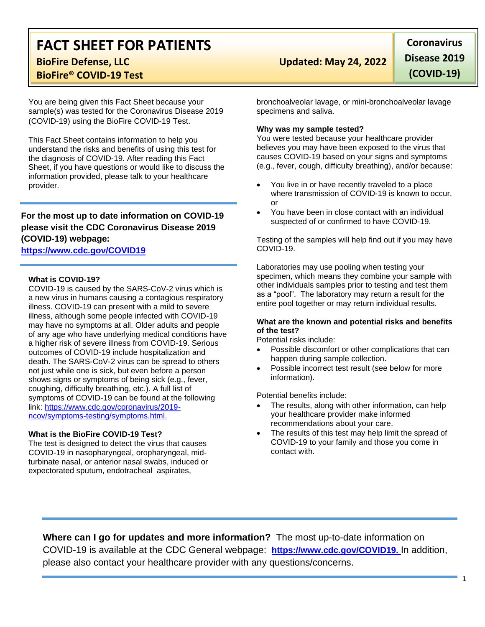# **FACT SHEET FOR PATIENTS BioFire Defense, LLC Updated: May 24, 2022**

**BioFire® COVID-19 Test**

You are being given this Fact Sheet because your sample(s) was tested for the Coronavirus Disease 2019 (COVID-19) using the BioFire COVID-19 Test.

This Fact Sheet contains information to help you understand the risks and benefits of using this test for the diagnosis of COVID-19. After reading this Fact Sheet, if you have questions or would like to discuss the information provided, please talk to your healthcare provider.

### **For the most up to date information on COVID-19 please visit the CDC Coronavirus Disease 2019 (COVID-19) webpage:**

### **[https://www.cdc.gov/COVID19](https://www.cdc.gov/nCoV)**

#### **What is COVID-19?**

COVID-19 is caused by the SARS-CoV-2 virus which is a new virus in humans causing a contagious respiratory illness. COVID-19 can present with a mild to severe illness, although some people infected with COVID-19 may have no symptoms at all. Older adults and people of any age who have underlying medical conditions have a higher risk of severe illness from COVID-19. Serious outcomes of COVID-19 include hospitalization and death. The SARS-CoV-2 virus can be spread to others not just while one is sick, but even before a person shows signs or symptoms of being sick (e.g., fever, coughing, difficulty breathing, etc.). A full list of symptoms of COVID-19 can be found at the following link: [https://www.cdc.gov/coronavirus/2019](https://www.cdc.gov/coronavirus/2019-ncov/symptoms-testing/symptoms.html) [ncov/symptoms-testing/symptoms.html.](https://www.cdc.gov/coronavirus/2019-ncov/symptoms-testing/symptoms.html)

#### **What is the BioFire COVID-19 Test?**

The test is designed to detect the virus that causes COVID-19 in nasopharyngeal, oropharyngeal, midturbinate nasal, or anterior nasal swabs, induced or expectorated sputum, endotracheal aspirates,

**Coronavirus Disease 2019 (COVID-19)**

bronchoalveolar lavage, or mini-bronchoalveolar lavage specimens and saliva.

#### **Why was my sample tested?**

You were tested because your healthcare provider believes you may have been exposed to the virus that causes COVID-19 based on your signs and symptoms (e.g., fever, cough, difficulty breathing), and/or because:

- You live in or have recently traveled to a place where transmission of COVID-19 is known to occur, or
- You have been in close contact with an individual suspected of or confirmed to have COVID-19.

Testing of the samples will help find out if you may have COVID-19.

Laboratories may use pooling when testing your specimen, which means they combine your sample with other individuals samples prior to testing and test them as a "pool". The laboratory may return a result for the entire pool together or may return individual results.

#### **What are the known and potential risks and benefits of the test?**

Potential risks include:

- Possible discomfort or other complications that can happen during sample collection.
- Possible incorrect test result (see below for more information).

Potential benefits include:

- The results, along with other information, can help your healthcare provider make informed recommendations about your care.
- The results of this test may help limit the spread of COVID-19 to your family and those you come in contact with.

**Where can I go for updates and more information?** The most up-to-date information on COVID-19 is available at the CDC General webpage: **[https://www.cdc.gov/COVID19.](https://www.cdc.gov/nCoV)** In addition, please also contact your healthcare provider with any questions/concerns.